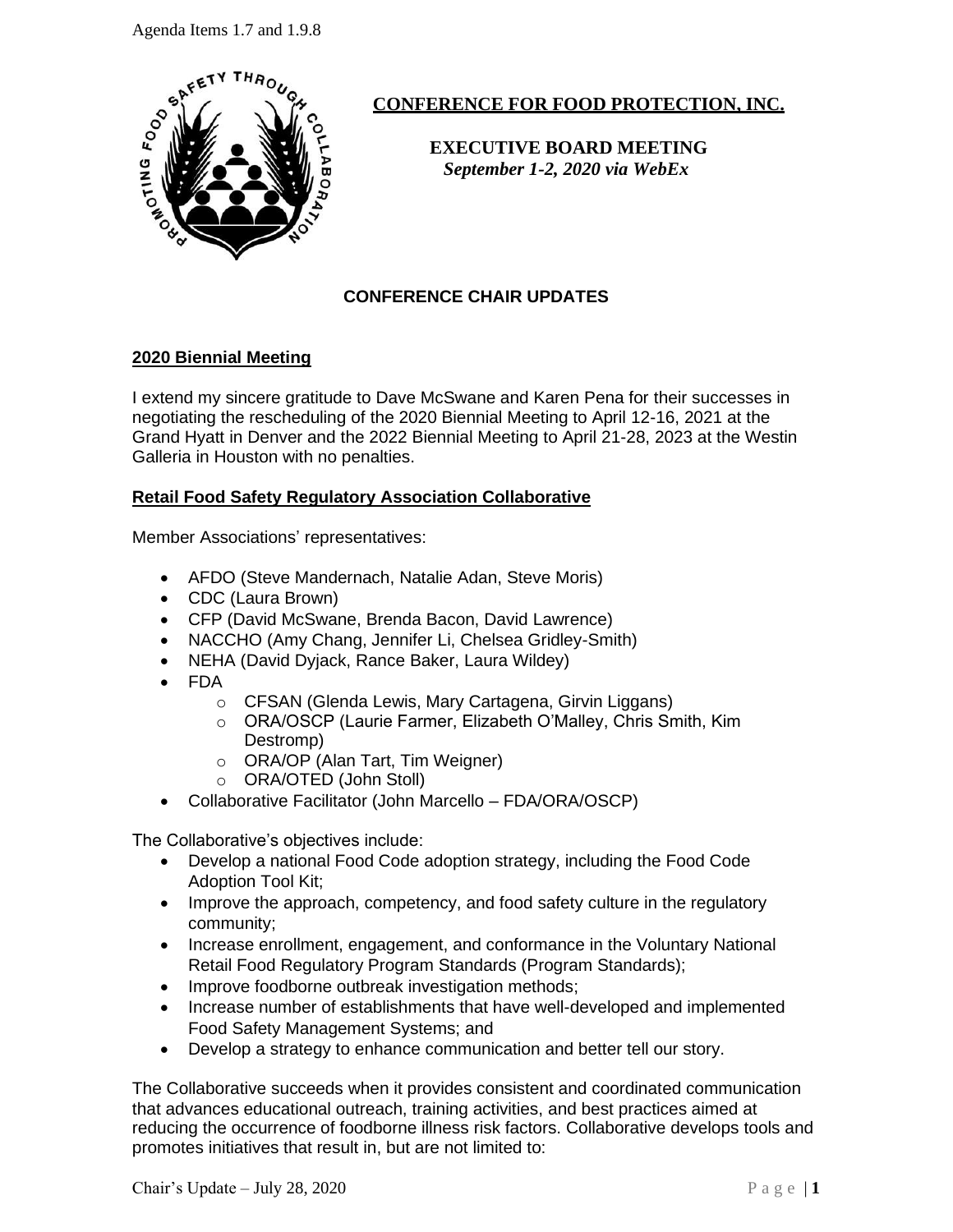Agenda Items 1.7 and 1.9.8



# **CONFERENCE FOR FOOD PROTECTION, INC.**

 **EXECUTIVE BOARD MEETING**   *September 1-2, 2020 via WebEx*

## **CONFERENCE CHAIR UPDATES**

### **2020 Biennial Meeting**

I extend my sincere gratitude to Dave McSwane and Karen Pena for their successes in negotiating the rescheduling of the 2020 Biennial Meeting to April 12-16, 2021 at the Grand Hyatt in Denver and the 2022 Biennial Meeting to April 21-28, 2023 at the Westin Galleria in Houston with no penalties.

### **Retail Food Safety Regulatory Association Collaborative**

Member Associations' representatives:

- AFDO (Steve Mandernach, Natalie Adan, Steve Moris)
- CDC (Laura Brown)
- CFP (David McSwane, Brenda Bacon, David Lawrence)
- NACCHO (Amy Chang, Jennifer Li, Chelsea Gridley-Smith)
- NEHA (David Dyjack, Rance Baker, Laura Wildey)
- FDA
	- o CFSAN (Glenda Lewis, Mary Cartagena, Girvin Liggans)
	- o ORA/OSCP (Laurie Farmer, Elizabeth O'Malley, Chris Smith, Kim Destromp)
	- o ORA/OP (Alan Tart, Tim Weigner)
	- o ORA/OTED (John Stoll)
- Collaborative Facilitator (John Marcello FDA/ORA/OSCP)

The Collaborative's objectives include:

- Develop a national Food Code adoption strategy, including the Food Code Adoption Tool Kit;
- Improve the approach, competency, and food safety culture in the regulatory community;
- Increase enrollment, engagement, and conformance in the Voluntary National Retail Food Regulatory Program Standards (Program Standards);
- Improve foodborne outbreak investigation methods;
- Increase number of establishments that have well-developed and implemented Food Safety Management Systems; and
- Develop a strategy to enhance communication and better tell our story.

The Collaborative succeeds when it provides consistent and coordinated communication that advances educational outreach, training activities, and best practices aimed at reducing the occurrence of foodborne illness risk factors. Collaborative develops tools and promotes initiatives that result in, but are not limited to: